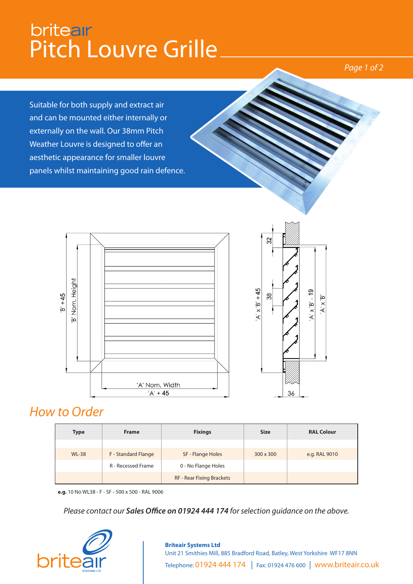## britear<br>Pitch Louvre Grille

*Page 1 of 2*

Suitable for both supply and extract air and can be mounted either internally or externally on the wall. Our 38mm Pitch Weather Louvre is designed to offer an aesthetic appearance for smaller louvre panels whilst maintaining good rain defence.





### *How to Order*

| <b>Type</b>  | <b>Frame</b>              | <b>Fixings</b>                   | <b>Size</b> | <b>RAL Colour</b> |  |  |
|--------------|---------------------------|----------------------------------|-------------|-------------------|--|--|
|              |                           |                                  |             |                   |  |  |
| <b>WL-38</b> | F - Standard Flange       | SF - Flange Holes                | 300 x 300   | e.g. RAL 9010     |  |  |
|              | <b>R</b> - Recessed Frame | 0 - No Flange Holes              |             |                   |  |  |
|              |                           | <b>RF - Rear Fixing Brackets</b> |             |                   |  |  |

**e.g.** 10 No WL38 - F - SF - 500 x 500 - RAL 9006

*Please contact our Sales Office on 01924 444 174 for selection guidance on the above.*



### **Briteair Systems Ltd** Unit 21 Smithies Mill, 885 Bradford Road, Batley, West Yorkshire WF17 8NN Telephone: 01924 444 174 | Fax: 01924 476 600 | www.briteair.co.uk